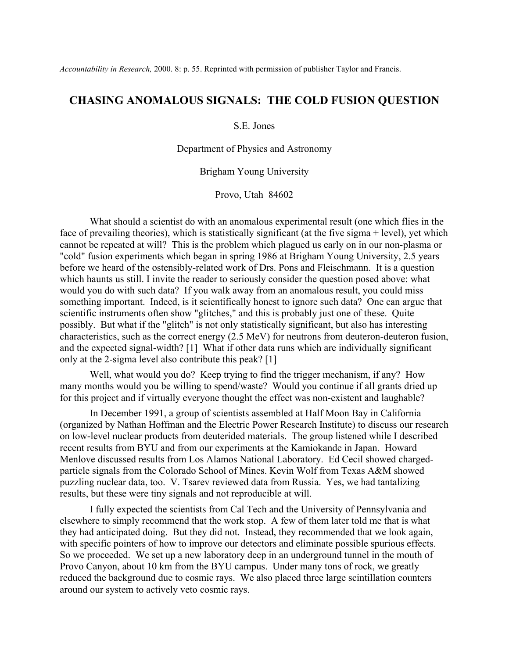## **CHASING ANOMALOUS SIGNALS: THE COLD FUSION QUESTION**

S.E. Jones

Department of Physics and Astronomy

Brigham Young University

Provo, Utah 84602

 What should a scientist do with an anomalous experimental result (one which flies in the face of prevailing theories), which is statistically significant (at the five sigma + level), yet which cannot be repeated at will? This is the problem which plagued us early on in our non-plasma or "cold" fusion experiments which began in spring 1986 at Brigham Young University, 2.5 years before we heard of the ostensibly-related work of Drs. Pons and Fleischmann. It is a question which haunts us still. I invite the reader to seriously consider the question posed above: what would you do with such data? If you walk away from an anomalous result, you could miss something important. Indeed, is it scientifically honest to ignore such data? One can argue that scientific instruments often show "glitches," and this is probably just one of these. Quite possibly. But what if the "glitch" is not only statistically significant, but also has interesting characteristics, such as the correct energy (2.5 MeV) for neutrons from deuteron-deuteron fusion, and the expected signal-width? [1] What if other data runs which are individually significant only at the 2-sigma level also contribute this peak? [1]

 Well, what would you do? Keep trying to find the trigger mechanism, if any? How many months would you be willing to spend/waste? Would you continue if all grants dried up for this project and if virtually everyone thought the effect was non-existent and laughable?

 In December 1991, a group of scientists assembled at Half Moon Bay in California (organized by Nathan Hoffman and the Electric Power Research Institute) to discuss our research on low-level nuclear products from deuterided materials. The group listened while I described recent results from BYU and from our experiments at the Kamiokande in Japan. Howard Menlove discussed results from Los Alamos National Laboratory. Ed Cecil showed chargedparticle signals from the Colorado School of Mines. Kevin Wolf from Texas A&M showed puzzling nuclear data, too. V. Tsarev reviewed data from Russia. Yes, we had tantalizing results, but these were tiny signals and not reproducible at will.

 I fully expected the scientists from Cal Tech and the University of Pennsylvania and elsewhere to simply recommend that the work stop. A few of them later told me that is what they had anticipated doing. But they did not. Instead, they recommended that we look again, with specific pointers of how to improve our detectors and eliminate possible spurious effects. So we proceeded. We set up a new laboratory deep in an underground tunnel in the mouth of Provo Canyon, about 10 km from the BYU campus. Under many tons of rock, we greatly reduced the background due to cosmic rays. We also placed three large scintillation counters around our system to actively veto cosmic rays.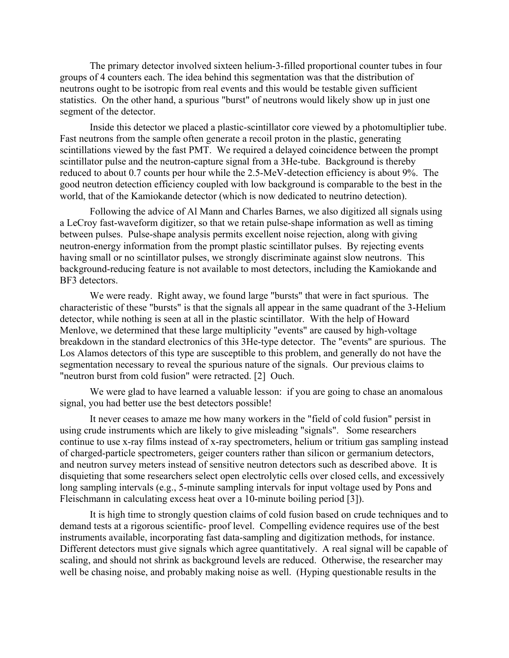The primary detector involved sixteen helium-3-filled proportional counter tubes in four groups of 4 counters each. The idea behind this segmentation was that the distribution of neutrons ought to be isotropic from real events and this would be testable given sufficient statistics. On the other hand, a spurious "burst" of neutrons would likely show up in just one segment of the detector.

 Inside this detector we placed a plastic-scintillator core viewed by a photomultiplier tube. Fast neutrons from the sample often generate a recoil proton in the plastic, generating scintillations viewed by the fast PMT. We required a delayed coincidence between the prompt scintillator pulse and the neutron-capture signal from a 3He-tube. Background is thereby reduced to about 0.7 counts per hour while the 2.5-MeV-detection efficiency is about 9%. The good neutron detection efficiency coupled with low background is comparable to the best in the world, that of the Kamiokande detector (which is now dedicated to neutrino detection).

 Following the advice of Al Mann and Charles Barnes, we also digitized all signals using a LeCroy fast-waveform digitizer, so that we retain pulse-shape information as well as timing between pulses. Pulse-shape analysis permits excellent noise rejection, along with giving neutron-energy information from the prompt plastic scintillator pulses. By rejecting events having small or no scintillator pulses, we strongly discriminate against slow neutrons. This background-reducing feature is not available to most detectors, including the Kamiokande and BF3 detectors.

 We were ready. Right away, we found large "bursts" that were in fact spurious. The characteristic of these "bursts" is that the signals all appear in the same quadrant of the 3-Helium detector, while nothing is seen at all in the plastic scintillator. With the help of Howard Menlove, we determined that these large multiplicity "events" are caused by high-voltage breakdown in the standard electronics of this 3He-type detector. The "events" are spurious. The Los Alamos detectors of this type are susceptible to this problem, and generally do not have the segmentation necessary to reveal the spurious nature of the signals. Our previous claims to "neutron burst from cold fusion" were retracted. [2] Ouch.

We were glad to have learned a valuable lesson: if you are going to chase an anomalous signal, you had better use the best detectors possible!

 It never ceases to amaze me how many workers in the "field of cold fusion" persist in using crude instruments which are likely to give misleading "signals". Some researchers continue to use x-ray films instead of x-ray spectrometers, helium or tritium gas sampling instead of charged-particle spectrometers, geiger counters rather than silicon or germanium detectors, and neutron survey meters instead of sensitive neutron detectors such as described above. It is disquieting that some researchers select open electrolytic cells over closed cells, and excessively long sampling intervals (e.g., 5-minute sampling intervals for input voltage used by Pons and Fleischmann in calculating excess heat over a 10-minute boiling period [3]).

 It is high time to strongly question claims of cold fusion based on crude techniques and to demand tests at a rigorous scientific- proof level. Compelling evidence requires use of the best instruments available, incorporating fast data-sampling and digitization methods, for instance. Different detectors must give signals which agree quantitatively. A real signal will be capable of scaling, and should not shrink as background levels are reduced. Otherwise, the researcher may well be chasing noise, and probably making noise as well. (Hyping questionable results in the